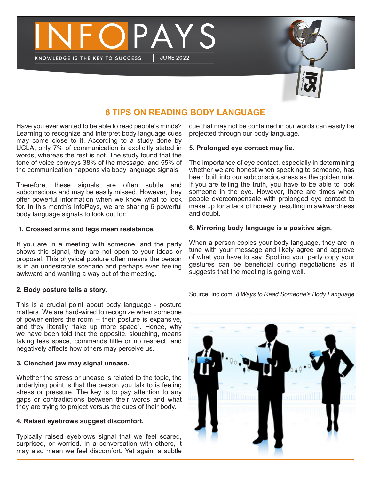



# **6 TIPS ON READING BODY LANGUAGE**

Have you ever wanted to be able to read people's minds? Learning to recognize and interpret body language cues may come close to it. According to a study done by UCLA, only 7% of communication is explicitly stated in words, whereas the rest is not. The study found that the tone of voice conveys 38% of the message, and 55% of the communication happens via body language signals.

Therefore, these signals are often subtle and subconscious and may be easily missed. However, they offer powerful information when we know what to look for. In this month's InfoPays, we are sharing 6 powerful body language signals to look out for:

#### **1. Crossed arms and legs mean resistance.**

If you are in a meeting with someone, and the party shows this signal, they are not open to your ideas or proposal. This physical posture often means the person is in an undesirable scenario and perhaps even feeling awkward and wanting a way out of the meeting.

# **2. Body posture tells a story.**

This is a crucial point about body language - posture matters. We are hard-wired to recognize when someone of power enters the room -- their posture is expansive, and they literally "take up more space". Hence, why we have been told that the opposite, slouching, means taking less space, commands little or no respect, and negatively affects how others may perceive us.

# **3. Clenched jaw may signal unease.**

Whether the stress or unease is related to the topic, the underlying point is that the person you talk to is feeling stress or pressure. The key is to pay attention to any gaps or contradictions between their words and what they are trying to project versus the cues of their body.

# **4. Raised eyebrows suggest discomfort.**

Typically raised eyebrows signal that we feel scared, surprised, or worried. In a conversation with others, it may also mean we feel discomfort. Yet again, a subtle

cue that may not be contained in our words can easily be projected through our body language.

# **5. Prolonged eye contact may lie.**

The importance of eye contact, especially in determining whether we are honest when speaking to someone, has been built into our subconsciousness as the golden rule. If you are telling the truth, you have to be able to look someone in the eye. However, there are times when people overcompensate with prolonged eye contact to make up for a lack of honesty, resulting in awkwardness and doubt.

# **6. Mirroring body language is a positive sign.**

When a person copies your body language, they are in tune with your message and likely agree and approve of what you have to say. Spotting your party copy your gestures can be beneficial during negotiations as it suggests that the meeting is going well.

Source: inc.com, *8 Ways to Read Someone's Body Language*